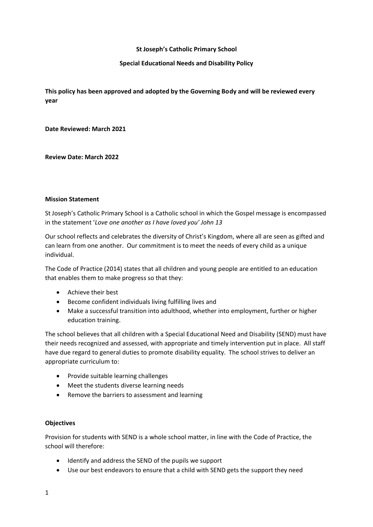### **St Joseph's Catholic Primary School**

## **Special Educational Needs and Disability Policy**

**This policy has been approved and adopted by the Governing Body and will be reviewed every year**

**Date Reviewed: March 2021**

**Review Date: March 2022**

#### **Mission Statement**

St Joseph's Catholic Primary School is a Catholic school in which the Gospel message is encompassed in the statement '*Love one another as I have loved you' John 13*

Our school reflects and celebrates the diversity of Christ's Kingdom, where all are seen as gifted and can learn from one another. Our commitment is to meet the needs of every child as a unique individual.

The Code of Practice (2014) states that all children and young people are entitled to an education that enables them to make progress so that they:

- Achieve their best
- Become confident individuals living fulfilling lives and
- Make a successful transition into adulthood, whether into employment, further or higher education training.

The school believes that all children with a Special Educational Need and Disability (SEND) must have their needs recognized and assessed, with appropriate and timely intervention put in place. All staff have due regard to general duties to promote disability equality. The school strives to deliver an appropriate curriculum to:

- Provide suitable learning challenges
- Meet the students diverse learning needs
- Remove the barriers to assessment and learning

### **Objectives**

Provision for students with SEND is a whole school matter, in line with the Code of Practice, the school will therefore:

- Identify and address the SEND of the pupils we support
- Use our best endeavors to ensure that a child with SEND gets the support they need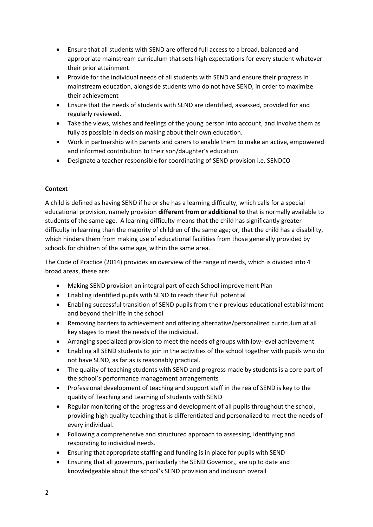- Ensure that all students with SEND are offered full access to a broad, balanced and appropriate mainstream curriculum that sets high expectations for every student whatever their prior attainment
- Provide for the individual needs of all students with SEND and ensure their progress in mainstream education, alongside students who do not have SEND, in order to maximize their achievement
- Ensure that the needs of students with SEND are identified, assessed, provided for and regularly reviewed.
- Take the views, wishes and feelings of the young person into account, and involve them as fully as possible in decision making about their own education.
- Work in partnership with parents and carers to enable them to make an active, empowered and informed contribution to their son/daughter's education
- Designate a teacher responsible for coordinating of SEND provision i.e. SENDCO

## **Context**

A child is defined as having SEND if he or she has a learning difficulty, which calls for a special educational provision, namely provision **different from or additional to** that is normally available to students of the same age. A learning difficulty means that the child has significantly greater difficulty in learning than the majority of children of the same age; or, that the child has a disability, which hinders them from making use of educational facilities from those generally provided by schools for children of the same age, within the same area.

The Code of Practice (2014) provides an overview of the range of needs, which is divided into 4 broad areas, these are:

- Making SEND provision an integral part of each School improvement Plan
- Enabling identified pupils with SEND to reach their full potential
- Enabling successful transition of SEND pupils from their previous educational establishment and beyond their life in the school
- Removing barriers to achievement and offering alternative/personalized curriculum at all key stages to meet the needs of the individual.
- Arranging specialized provision to meet the needs of groups with low-level achievement
- Enabling all SEND students to join in the activities of the school together with pupils who do not have SEND, as far as is reasonably practical.
- The quality of teaching students with SEND and progress made by students is a core part of the school's performance management arrangements
- Professional development of teaching and support staff in the rea of SEND is key to the quality of Teaching and Learning of students with SEND
- Regular monitoring of the progress and development of all pupils throughout the school, providing high quality teaching that is differentiated and personalized to meet the needs of every individual.
- Following a comprehensive and structured approach to assessing, identifying and responding to individual needs.
- Ensuring that appropriate staffing and funding is in place for pupils with SEND
- Ensuring that all governors, particularly the SEND Governor,, are up to date and knowledgeable about the school's SEND provision and inclusion overall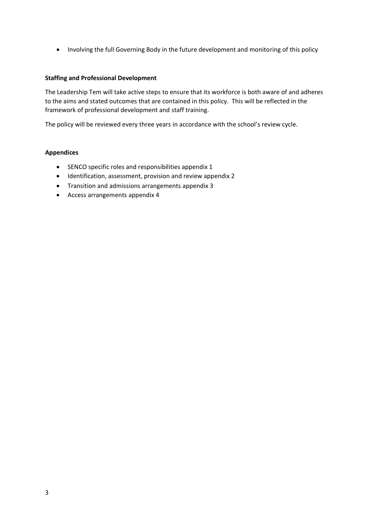Involving the full Governing Body in the future development and monitoring of this policy

## **Staffing and Professional Development**

The Leadership Tem will take active steps to ensure that its workforce is both aware of and adheres to the aims and stated outcomes that are contained in this policy. This will be reflected in the framework of professional development and staff training.

The policy will be reviewed every three years in accordance with the school's review cycle.

## **Appendices**

- SENCO specific roles and responsibilities appendix 1
- Identification, assessment, provision and review appendix 2
- Transition and admissions arrangements appendix 3
- Access arrangements appendix 4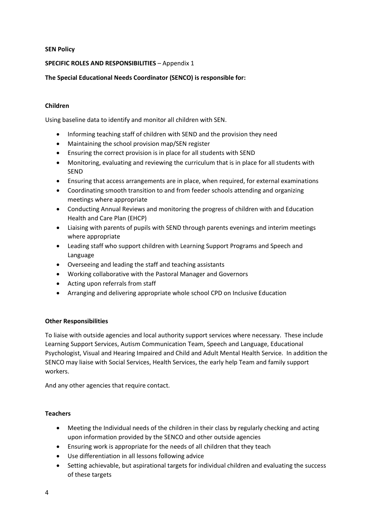### **SEN Policy**

# **SPECIFIC ROLES AND RESPONSIBILITIES** – Appendix 1

# **The Special Educational Needs Coordinator (SENCO) is responsible for:**

## **Children**

Using baseline data to identify and monitor all children with SEN.

- Informing teaching staff of children with SEND and the provision they need
- Maintaining the school provision map/SEN register
- Ensuring the correct provision is in place for all students with SEND
- Monitoring, evaluating and reviewing the curriculum that is in place for all students with SEND
- Ensuring that access arrangements are in place, when required, for external examinations
- Coordinating smooth transition to and from feeder schools attending and organizing meetings where appropriate
- Conducting Annual Reviews and monitoring the progress of children with and Education Health and Care Plan (EHCP)
- Liaising with parents of pupils with SEND through parents evenings and interim meetings where appropriate
- Leading staff who support children with Learning Support Programs and Speech and Language
- Overseeing and leading the staff and teaching assistants
- Working collaborative with the Pastoral Manager and Governors
- Acting upon referrals from staff
- Arranging and delivering appropriate whole school CPD on Inclusive Education

### **Other Responsibilities**

To liaise with outside agencies and local authority support services where necessary. These include Learning Support Services, Autism Communication Team, Speech and Language, Educational Psychologist, Visual and Hearing Impaired and Child and Adult Mental Health Service. In addition the SENCO may liaise with Social Services, Health Services, the early help Team and family support workers.

And any other agencies that require contact.

# **Teachers**

- Meeting the Individual needs of the children in their class by regularly checking and acting upon information provided by the SENCO and other outside agencies
- Ensuring work is appropriate for the needs of all children that they teach
- Use differentiation in all lessons following advice
- Setting achievable, but aspirational targets for individual children and evaluating the success of these targets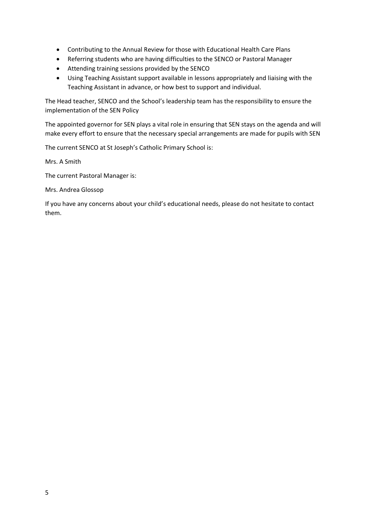- Contributing to the Annual Review for those with Educational Health Care Plans
- Referring students who are having difficulties to the SENCO or Pastoral Manager
- Attending training sessions provided by the SENCO
- Using Teaching Assistant support available in lessons appropriately and liaising with the Teaching Assistant in advance, or how best to support and individual.

The Head teacher, SENCO and the School's leadership team has the responsibility to ensure the implementation of the SEN Policy

The appointed governor for SEN plays a vital role in ensuring that SEN stays on the agenda and will make every effort to ensure that the necessary special arrangements are made for pupils with SEN

The current SENCO at St Joseph's Catholic Primary School is:

Mrs. A Smith

The current Pastoral Manager is:

Mrs. Andrea Glossop

If you have any concerns about your child's educational needs, please do not hesitate to contact them.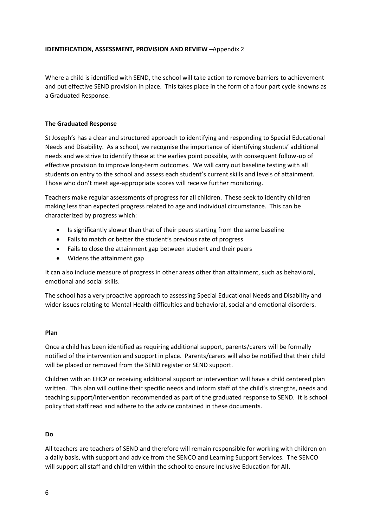### **IDENTIFICATION, ASSESSMENT, PROVISION AND REVIEW –**Appendix 2

Where a child is identified with SEND, the school will take action to remove barriers to achievement and put effective SEND provision in place. This takes place in the form of a four part cycle knowns as a Graduated Response.

## **The Graduated Response**

St Joseph's has a clear and structured approach to identifying and responding to Special Educational Needs and Disability. As a school, we recognise the importance of identifying students' additional needs and we strive to identify these at the earlies point possible, with consequent follow-up of effective provision to improve long-term outcomes. We will carry out baseline testing with all students on entry to the school and assess each student's current skills and levels of attainment. Those who don't meet age-appropriate scores will receive further monitoring.

Teachers make regular assessments of progress for all children. These seek to identify children making less than expected progress related to age and individual circumstance. This can be characterized by progress which:

- Is significantly slower than that of their peers starting from the same baseline
- Fails to match or better the student's previous rate of progress
- Fails to close the attainment gap between student and their peers
- Widens the attainment gap

It can also include measure of progress in other areas other than attainment, such as behavioral, emotional and social skills.

The school has a very proactive approach to assessing Special Educational Needs and Disability and wider issues relating to Mental Health difficulties and behavioral, social and emotional disorders.

### **Plan**

Once a child has been identified as requiring additional support, parents/carers will be formally notified of the intervention and support in place. Parents/carers will also be notified that their child will be placed or removed from the SEND register or SEND support.

Children with an EHCP or receiving additional support or intervention will have a child centered plan written. This plan will outline their specific needs and inform staff of the child's strengths, needs and teaching support/intervention recommended as part of the graduated response to SEND. It is school policy that staff read and adhere to the advice contained in these documents.

# **Do**

All teachers are teachers of SEND and therefore will remain responsible for working with children on a daily basis, with support and advice from the SENCO and Learning Support Services. The SENCO will support all staff and children within the school to ensure Inclusive Education for All.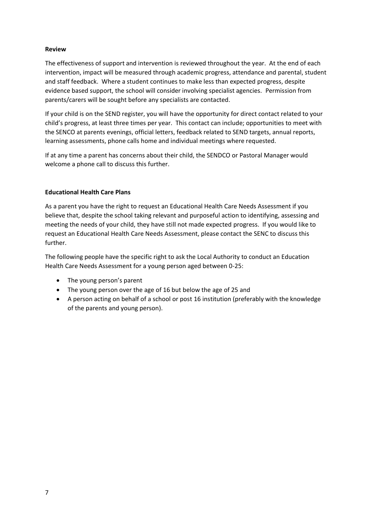## **Review**

The effectiveness of support and intervention is reviewed throughout the year. At the end of each intervention, impact will be measured through academic progress, attendance and parental, student and staff feedback. Where a student continues to make less than expected progress, despite evidence based support, the school will consider involving specialist agencies. Permission from parents/carers will be sought before any specialists are contacted.

If your child is on the SEND register, you will have the opportunity for direct contact related to your child's progress, at least three times per year. This contact can include; opportunities to meet with the SENCO at parents evenings, official letters, feedback related to SEND targets, annual reports, learning assessments, phone calls home and individual meetings where requested.

If at any time a parent has concerns about their child, the SENDCO or Pastoral Manager would welcome a phone call to discuss this further.

## **Educational Health Care Plans**

As a parent you have the right to request an Educational Health Care Needs Assessment if you believe that, despite the school taking relevant and purposeful action to identifying, assessing and meeting the needs of your child, they have still not made expected progress. If you would like to request an Educational Health Care Needs Assessment, please contact the SENC to discuss this further.

The following people have the specific right to ask the Local Authority to conduct an Education Health Care Needs Assessment for a young person aged between 0-25:

- The young person's parent
- The young person over the age of 16 but below the age of 25 and
- A person acting on behalf of a school or post 16 institution (preferably with the knowledge of the parents and young person).